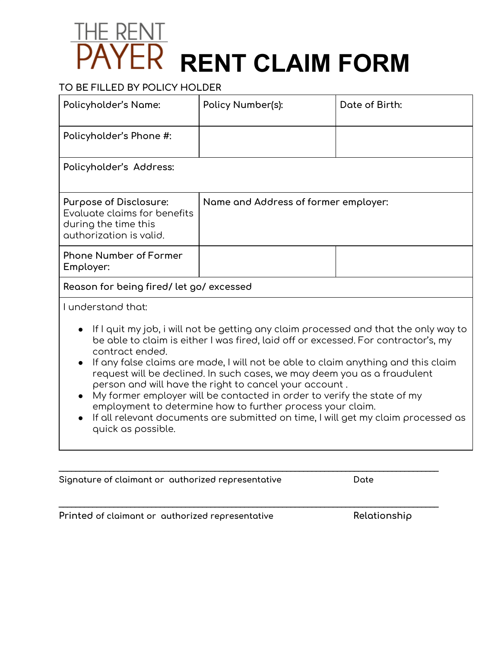## THE RENT **RENT CLAIM FORM**

## **TO BE FILLED BY POLICY HOLDER**

| Policyholder's Name:                                                                                                                                                                                                                                                                                                                                                                                                                                                                                                                                                                                                                                                         | Policy Number(s):                    | Date of Birth: |  |  |
|------------------------------------------------------------------------------------------------------------------------------------------------------------------------------------------------------------------------------------------------------------------------------------------------------------------------------------------------------------------------------------------------------------------------------------------------------------------------------------------------------------------------------------------------------------------------------------------------------------------------------------------------------------------------------|--------------------------------------|----------------|--|--|
| Policyholder's Phone #:                                                                                                                                                                                                                                                                                                                                                                                                                                                                                                                                                                                                                                                      |                                      |                |  |  |
| Policyholder's Address:                                                                                                                                                                                                                                                                                                                                                                                                                                                                                                                                                                                                                                                      |                                      |                |  |  |
| Purpose of Disclosure:<br>Evaluate claims for benefits<br>during the time this<br>authorization is valid.                                                                                                                                                                                                                                                                                                                                                                                                                                                                                                                                                                    | Name and Address of former employer: |                |  |  |
| <b>Phone Number of Former</b><br>Employer:                                                                                                                                                                                                                                                                                                                                                                                                                                                                                                                                                                                                                                   |                                      |                |  |  |
| Reason for being fired/let go/excessed                                                                                                                                                                                                                                                                                                                                                                                                                                                                                                                                                                                                                                       |                                      |                |  |  |
| I understand that:                                                                                                                                                                                                                                                                                                                                                                                                                                                                                                                                                                                                                                                           |                                      |                |  |  |
| If I quit my job, i will not be getting any claim processed and that the only way to<br>be able to claim is either I was fired, laid off or excessed. For contractor's, my<br>contract ended.<br>If any false claims are made, I will not be able to claim anything and this claim<br>request will be declined. In such cases, we may deem you as a fraudulent<br>person and will have the right to cancel your account.<br>My former employer will be contacted in order to verify the state of my<br>employment to determine how to further process your claim.<br>If all relevant documents are submitted on time, I will get my claim processed as<br>quick as possible. |                                      |                |  |  |

 $\_$  ,  $\_$  ,  $\_$  ,  $\_$  ,  $\_$  ,  $\_$  ,  $\_$  ,  $\_$  ,  $\_$  ,  $\_$  ,  $\_$  ,  $\_$  ,  $\_$  ,  $\_$  ,  $\_$  ,  $\_$  ,  $\_$  ,  $\_$  ,  $\_$  ,  $\_$  ,  $\_$  ,  $\_$  ,  $\_$  ,  $\_$  ,  $\_$  ,  $\_$  ,  $\_$  ,  $\_$  ,  $\_$  ,  $\_$  ,  $\_$  ,  $\_$  ,  $\_$  ,  $\_$  ,  $\_$  ,  $\_$  ,  $\_$  ,

 $\_$  ,  $\_$  ,  $\_$  ,  $\_$  ,  $\_$  ,  $\_$  ,  $\_$  ,  $\_$  ,  $\_$  ,  $\_$  ,  $\_$  ,  $\_$  ,  $\_$  ,  $\_$  ,  $\_$  ,  $\_$  ,  $\_$  ,  $\_$  ,  $\_$  ,  $\_$  ,  $\_$  ,  $\_$  ,  $\_$  ,  $\_$  ,  $\_$  ,  $\_$  ,  $\_$  ,  $\_$  ,  $\_$  ,  $\_$  ,  $\_$  ,  $\_$  ,  $\_$  ,  $\_$  ,  $\_$  ,  $\_$  ,  $\_$  ,

**Signature of claimant or authorized representative Date**

**Printed of claimant or authorized representative Relationship**